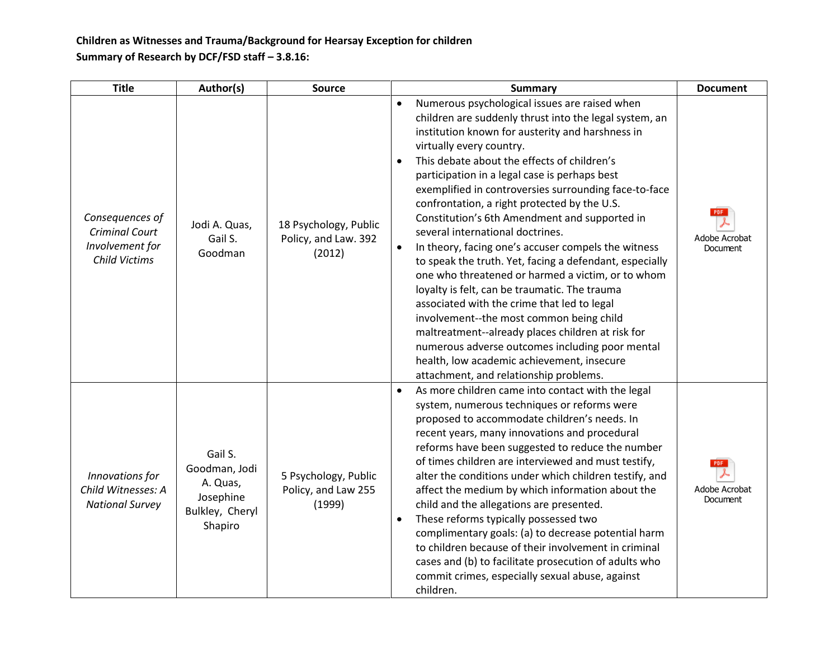**Children as Witnesses and Trauma/Background for Hearsay Exception for children Summary of Research by DCF/FSD staff – 3.8.16:**

| <b>Title</b>                                                                 | Author(s)                                                                       | Source                                                  | <b>Summary</b>                                                                                                                                                                                                                                                                                                                                                                                                                                                                                                                                                                                                                                                                                                                                                                                                                                                                                                                                                                                                             | <b>Document</b>                                |
|------------------------------------------------------------------------------|---------------------------------------------------------------------------------|---------------------------------------------------------|----------------------------------------------------------------------------------------------------------------------------------------------------------------------------------------------------------------------------------------------------------------------------------------------------------------------------------------------------------------------------------------------------------------------------------------------------------------------------------------------------------------------------------------------------------------------------------------------------------------------------------------------------------------------------------------------------------------------------------------------------------------------------------------------------------------------------------------------------------------------------------------------------------------------------------------------------------------------------------------------------------------------------|------------------------------------------------|
| Consequences of<br><b>Criminal Court</b><br>Involvement for<br>Child Victims | Jodi A. Quas,<br>Gail S.<br>Goodman                                             | 18 Psychology, Public<br>Policy, and Law. 392<br>(2012) | Numerous psychological issues are raised when<br>$\bullet$<br>children are suddenly thrust into the legal system, an<br>institution known for austerity and harshness in<br>virtually every country.<br>This debate about the effects of children's<br>participation in a legal case is perhaps best<br>exemplified in controversies surrounding face-to-face<br>confrontation, a right protected by the U.S.<br>Constitution's 6th Amendment and supported in<br>several international doctrines.<br>In theory, facing one's accuser compels the witness<br>٠<br>to speak the truth. Yet, facing a defendant, especially<br>one who threatened or harmed a victim, or to whom<br>loyalty is felt, can be traumatic. The trauma<br>associated with the crime that led to legal<br>involvement--the most common being child<br>maltreatment--already places children at risk for<br>numerous adverse outcomes including poor mental<br>health, low academic achievement, insecure<br>attachment, and relationship problems. | Adobe Acrobat<br>Document                      |
| Innovations for<br>Child Witnesses: A<br><b>National Survey</b>              | Gail S.<br>Goodman, Jodi<br>A. Quas,<br>Josephine<br>Bulkley, Cheryl<br>Shapiro | 5 Psychology, Public<br>Policy, and Law 255<br>(1999)   | As more children came into contact with the legal<br>system, numerous techniques or reforms were<br>proposed to accommodate children's needs. In<br>recent years, many innovations and procedural<br>reforms have been suggested to reduce the number<br>of times children are interviewed and must testify,<br>alter the conditions under which children testify, and<br>affect the medium by which information about the<br>child and the allegations are presented.<br>These reforms typically possessed two<br>complimentary goals: (a) to decrease potential harm<br>to children because of their involvement in criminal<br>cases and (b) to facilitate prosecution of adults who<br>commit crimes, especially sexual abuse, against<br>children.                                                                                                                                                                                                                                                                    | <b>PDF</b><br>Adobe Acrobat<br><b>Document</b> |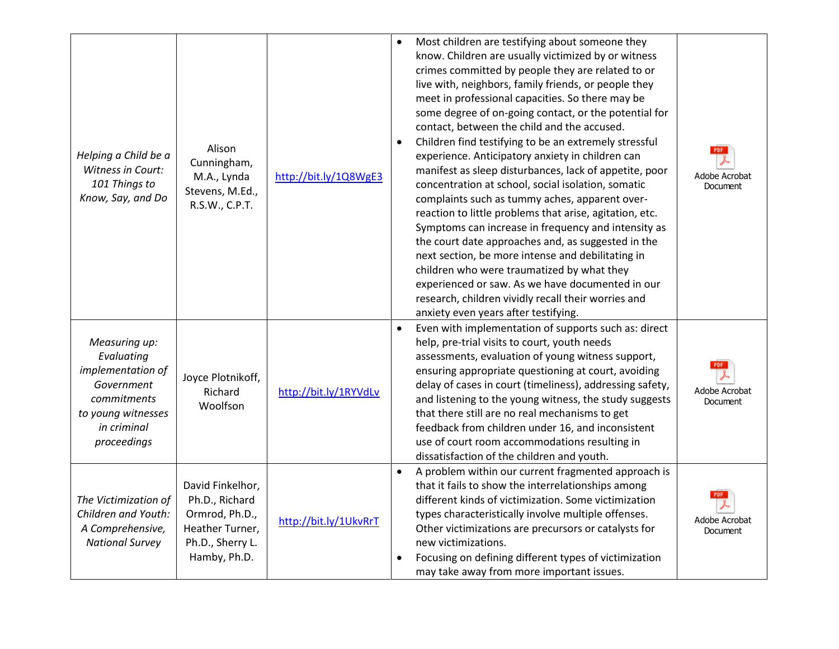| Helping a Child be a<br>Witness in Court:<br>101 Things to<br>Know, Say, and Do                                                   | Alison<br>Cunningham,<br>M.A., Lynda<br>Stevens, M.Ed.,<br>R.S.W., C.P.T.                                   | http://bit.ly/1Q8WgE3 | $\bullet$ | Most children are testifying about someone they<br>know. Children are usually victimized by or witness<br>crimes committed by people they are related to or<br>live with, neighbors, family friends, or people they<br>meet in professional capacities. So there may be<br>some degree of on-going contact, or the potential for<br>contact, between the child and the accused.<br>Children find testifying to be an extremely stressful<br>experience. Anticipatory anxiety in children can<br>manifest as sleep disturbances, lack of appetite, poor<br>concentration at school, social isolation, somatic<br>complaints such as tummy aches, apparent over-<br>reaction to little problems that arise, agitation, etc.<br>Symptoms can increase in frequency and intensity as<br>the court date approaches and, as suggested in the<br>next section, be more intense and debilitating in<br>children who were traumatized by what they<br>experienced or saw. As we have documented in our<br>research, children vividly recall their worries and<br>anxiety even years after testifying. | <b>PDF</b><br>Adobe Acrobat<br><b>Document</b> |
|-----------------------------------------------------------------------------------------------------------------------------------|-------------------------------------------------------------------------------------------------------------|-----------------------|-----------|----------------------------------------------------------------------------------------------------------------------------------------------------------------------------------------------------------------------------------------------------------------------------------------------------------------------------------------------------------------------------------------------------------------------------------------------------------------------------------------------------------------------------------------------------------------------------------------------------------------------------------------------------------------------------------------------------------------------------------------------------------------------------------------------------------------------------------------------------------------------------------------------------------------------------------------------------------------------------------------------------------------------------------------------------------------------------------------------|------------------------------------------------|
| Measuring up:<br>Evaluating<br>implementation of<br>Government<br>commitments<br>to young witnesses<br>in criminal<br>proceedings | Joyce Plotnikoff,<br>Richard<br>Woolfson                                                                    | http://bit.ly/1RYVdLv | $\bullet$ | Even with implementation of supports such as: direct<br>help, pre-trial visits to court, youth needs<br>assessments, evaluation of young witness support,<br>ensuring appropriate questioning at court, avoiding<br>delay of cases in court (timeliness), addressing safety,<br>and listening to the young witness, the study suggests<br>that there still are no real mechanisms to get<br>feedback from children under 16, and inconsistent<br>use of court room accommodations resulting in<br>dissatisfaction of the children and youth.                                                                                                                                                                                                                                                                                                                                                                                                                                                                                                                                                 | Adobe Acrobat<br><b>Document</b>               |
| The Victimization of<br>Children and Youth:<br>A Comprehensive,<br><b>National Survey</b>                                         | David Finkelhor,<br>Ph.D., Richard<br>Ormrod, Ph.D.,<br>Heather Turner,<br>Ph.D., Sherry L.<br>Hamby, Ph.D. | http://bit.ly/1UkvRrT | $\bullet$ | A problem within our current fragmented approach is<br>that it fails to show the interrelationships among<br>different kinds of victimization. Some victimization<br>types characteristically involve multiple offenses.<br>Other victimizations are precursors or catalysts for<br>new victimizations.<br>Focusing on defining different types of victimization<br>may take away from more important issues.                                                                                                                                                                                                                                                                                                                                                                                                                                                                                                                                                                                                                                                                                | Adobe Acrobat<br>Document                      |